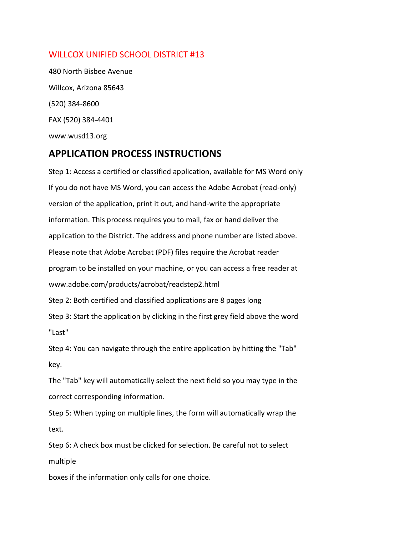## WILLCOX UNIFIED SCHOOL DISTRICT #13

480 North Bisbee Avenue Willcox, Arizona 85643 (520) 384-8600 FAX (520) 384-4401 www.wusd13.org

## **APPLICATION PROCESS INSTRUCTIONS**

Step 1: Access a certified or classified application, available for MS Word only If you do not have MS Word, you can access the Adobe Acrobat (read-only) version of the application, print it out, and hand-write the appropriate information. This process requires you to mail, fax or hand deliver the application to the District. The address and phone number are listed above. Please note that Adobe Acrobat (PDF) files require the Acrobat reader program to be installed on your machine, or you can access a free reader at www.adobe.com/products/acrobat/readstep2.html Step 2: Both certified and classified applications are 8 pages long Step 3: Start the application by clicking in the first grey field above the word "Last" Step 4: You can navigate through the entire application by hitting the "Tab" key.

The "Tab" key will automatically select the next field so you may type in the correct corresponding information.

Step 5: When typing on multiple lines, the form will automatically wrap the text.

Step 6: A check box must be clicked for selection. Be careful not to select multiple

boxes if the information only calls for one choice.